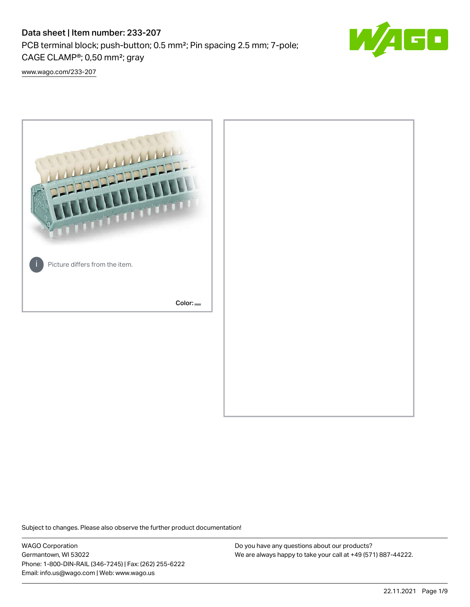# Data sheet | Item number: 233-207

PCB terminal block; push-button; 0.5 mm²; Pin spacing 2.5 mm; 7-pole; CAGE CLAMP®; 0,50 mm²; gray



[www.wago.com/233-207](http://www.wago.com/233-207)



Subject to changes. Please also observe the further product documentation!

WAGO Corporation Germantown, WI 53022 Phone: 1-800-DIN-RAIL (346-7245) | Fax: (262) 255-6222 Email: info.us@wago.com | Web: www.wago.us

Do you have any questions about our products? We are always happy to take your call at +49 (571) 887-44222.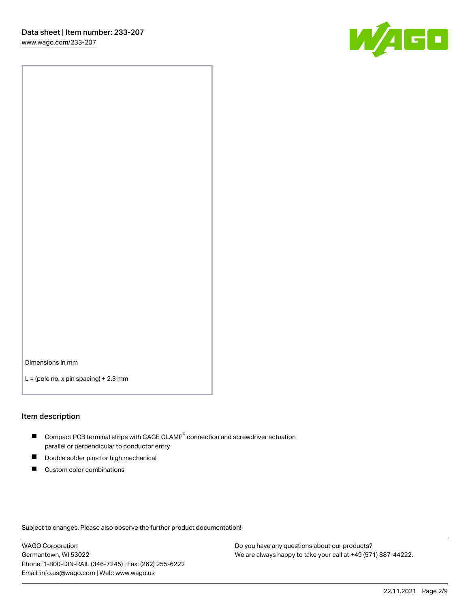

Dimensions in mm

 $L =$  (pole no. x pin spacing) + 2.3 mm

#### Item description

- $\blacksquare$  Compact PCB terminal strips with CAGE CLAMP<sup>®</sup> connection and screwdriver actuation parallel or perpendicular to conductor entry
- П Double solder pins for high mechanical
- $\blacksquare$ Custom color combinations

Subject to changes. Please also observe the further product documentation!

WAGO Corporation Germantown, WI 53022 Phone: 1-800-DIN-RAIL (346-7245) | Fax: (262) 255-6222 Email: info.us@wago.com | Web: www.wago.us

Do you have any questions about our products? We are always happy to take your call at +49 (571) 887-44222.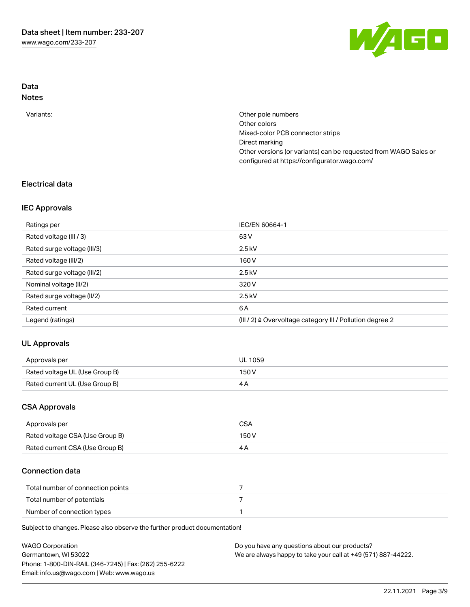

## Data Notes

| Variants: | Other pole numbers                                               |
|-----------|------------------------------------------------------------------|
|           | Other colors                                                     |
|           | Mixed-color PCB connector strips                                 |
|           | Direct marking                                                   |
|           | Other versions (or variants) can be requested from WAGO Sales or |
|           | configured at https://configurator.wago.com/                     |
|           |                                                                  |

# Electrical data

## IEC Approvals

| Ratings per                 | IEC/EN 60664-1                                                        |
|-----------------------------|-----------------------------------------------------------------------|
| Rated voltage (III / 3)     | 63 V                                                                  |
| Rated surge voltage (III/3) | $2.5$ kV                                                              |
| Rated voltage (III/2)       | 160 V                                                                 |
| Rated surge voltage (III/2) | $2.5$ kV                                                              |
| Nominal voltage (II/2)      | 320 V                                                                 |
| Rated surge voltage (II/2)  | $2.5$ kV                                                              |
| Rated current               | 6 A                                                                   |
| Legend (ratings)            | $(III / 2)$ $\triangle$ Overvoltage category III / Pollution degree 2 |

# UL Approvals

| Approvals per                  | <b>UL 1059</b> |
|--------------------------------|----------------|
| Rated voltage UL (Use Group B) | 150V           |
| Rated current UL (Use Group B) |                |

## CSA Approvals

| Approvals per                   | CSA   |
|---------------------------------|-------|
| Rated voltage CSA (Use Group B) | 150 V |
| Rated current CSA (Use Group B) |       |

## Connection data

| Total number of connection points |  |
|-----------------------------------|--|
| Total number of potentials        |  |
| Number of connection types        |  |

| <b>WAGO Corporation</b>                                | Do you have any questions about our products?                 |
|--------------------------------------------------------|---------------------------------------------------------------|
| Germantown, WI 53022                                   | We are always happy to take your call at +49 (571) 887-44222. |
| Phone: 1-800-DIN-RAIL (346-7245)   Fax: (262) 255-6222 |                                                               |
| Email: info.us@wago.com   Web: www.wago.us             |                                                               |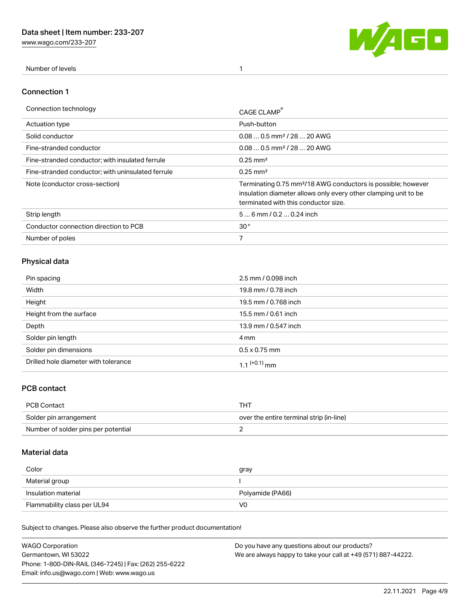[www.wago.com/233-207](http://www.wago.com/233-207)



Number of levels 1

### Connection 1

| Connection technology                             | CAGE CLAMP                                                                                                                                                                          |
|---------------------------------------------------|-------------------------------------------------------------------------------------------------------------------------------------------------------------------------------------|
| <b>Actuation type</b>                             | Push-button                                                                                                                                                                         |
| Solid conductor                                   | $0.080.5$ mm <sup>2</sup> / 28  20 AWG                                                                                                                                              |
| Fine-stranded conductor                           | $0.080.5$ mm <sup>2</sup> / 28  20 AWG                                                                                                                                              |
| Fine-stranded conductor; with insulated ferrule   | $0.25 \text{ mm}^2$                                                                                                                                                                 |
| Fine-stranded conductor: with uninsulated ferrule | $0.25 \text{ mm}^2$                                                                                                                                                                 |
| Note (conductor cross-section)                    | Terminating 0.75 mm <sup>2</sup> /18 AWG conductors is possible; however<br>insulation diameter allows only every other clamping unit to be<br>terminated with this conductor size. |
| Strip length                                      | $56$ mm / 0.2  0.24 inch                                                                                                                                                            |
| Conductor connection direction to PCB             | 30 <sup>°</sup>                                                                                                                                                                     |
| Number of poles                                   |                                                                                                                                                                                     |

# Physical data

| Pin spacing                          | 2.5 mm / 0.098 inch      |
|--------------------------------------|--------------------------|
| Width                                | 19.8 mm / 0.78 inch      |
| Height                               | 19.5 mm / 0.768 inch     |
| Height from the surface              | 15.5 mm / 0.61 inch      |
| Depth                                | 13.9 mm / 0.547 inch     |
| Solder pin length                    | 4 mm                     |
| Solder pin dimensions                | $0.5 \times 0.75$ mm     |
| Drilled hole diameter with tolerance | 1.1 <sup>(+0.1)</sup> mm |

## PCB contact

| PCB Contact                         | THT                                      |
|-------------------------------------|------------------------------------------|
| Solder pin arrangement              | over the entire terminal strip (in-line) |
| Number of solder pins per potential |                                          |

## Material data

| Color               | gray             |
|---------------------|------------------|
| Material group      |                  |
| Insulation material | Polyamide (PA66) |
|                     |                  |

| <b>WAGO Corporation</b>                                | Do you have any questions about our products?                 |
|--------------------------------------------------------|---------------------------------------------------------------|
| Germantown, WI 53022                                   | We are always happy to take your call at +49 (571) 887-44222. |
| Phone: 1-800-DIN-RAIL (346-7245)   Fax: (262) 255-6222 |                                                               |
| Email: info.us@wago.com   Web: www.wago.us             |                                                               |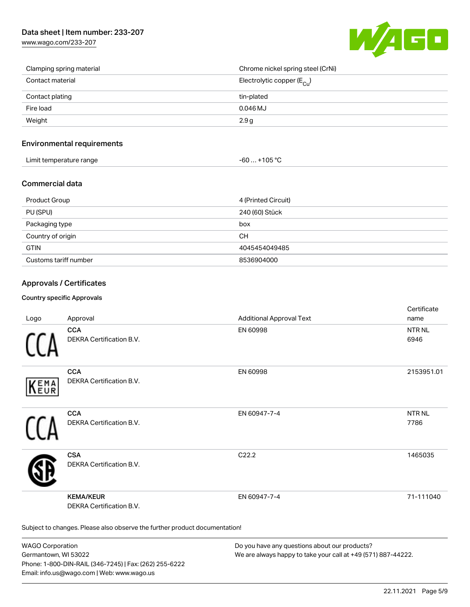# Data sheet | Item number: 233-207

[www.wago.com/233-207](http://www.wago.com/233-207)



| Clamping spring material | Chrome nickel spring steel (CrNi)       |
|--------------------------|-----------------------------------------|
| Contact material         | Electrolytic copper ( $E_{\text{Cu}}$ ) |
| Contact plating          | tin-plated                              |
| Fire load                | $0.046$ MJ                              |
| Weight                   | 2.9 g                                   |

### Environmental requirements

| Limit temperature range | $-60+105 °C$ |
|-------------------------|--------------|
|-------------------------|--------------|

#### Commercial data

| <b>Product Group</b>  | 4 (Printed Circuit) |
|-----------------------|---------------------|
| PU (SPU)              | 240 (60) Stück      |
| Packaging type        | box                 |
| Country of origin     | CН                  |
| <b>GTIN</b>           | 4045454049485       |
| Customs tariff number | 8536904000          |

## Approvals / Certificates

#### Country specific Approvals

| Logo       | Approval                                                                   | <b>Additional Approval Text</b> | Certificate<br>name   |
|------------|----------------------------------------------------------------------------|---------------------------------|-----------------------|
|            | <b>CCA</b><br>DEKRA Certification B.V.                                     | EN 60998                        | <b>NTR NL</b><br>6946 |
| EMA<br>EUR | <b>CCA</b><br>DEKRA Certification B.V.                                     | EN 60998                        | 2153951.01            |
|            | <b>CCA</b><br>DEKRA Certification B.V.                                     | EN 60947-7-4                    | <b>NTRNL</b><br>7786  |
|            | <b>CSA</b><br>DEKRA Certification B.V.                                     | C <sub>22.2</sub>               | 1465035               |
|            | <b>KEMA/KEUR</b><br><b>DEKRA Certification B.V.</b>                        | EN 60947-7-4                    | 71-111040             |
|            | Subject to changes. Please also observe the further product documentation! |                                 |                       |

WAGO Corporation Germantown, WI 53022 Phone: 1-800-DIN-RAIL (346-7245) | Fax: (262) 255-6222 Email: info.us@wago.com | Web: www.wago.us

Do you have any questions about our products? We are always happy to take your call at +49 (571) 887-44222.

 $C$  cattle at  $\epsilon$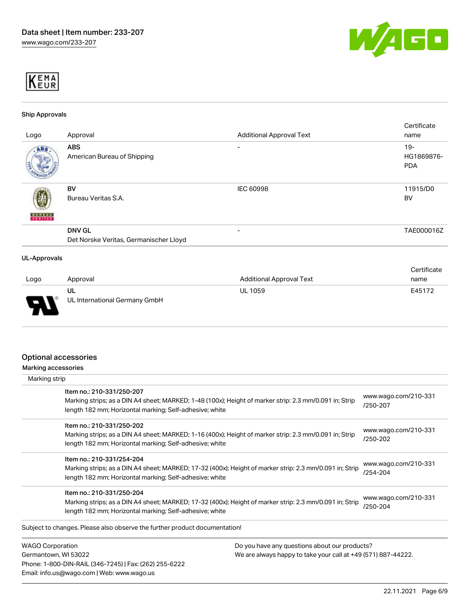



#### Ship Approvals

|                                        |                                 | Certificate                     |
|----------------------------------------|---------------------------------|---------------------------------|
| Approval                               | <b>Additional Approval Text</b> | name                            |
| <b>ABS</b>                             | -                               | $19 -$                          |
| American Bureau of Shipping            |                                 | HG1869876-                      |
|                                        |                                 | <b>PDA</b>                      |
|                                        |                                 |                                 |
| <b>BV</b>                              | IEC 60998                       | 11915/D0                        |
| Bureau Veritas S.A.                    |                                 | BV                              |
|                                        |                                 |                                 |
|                                        |                                 |                                 |
| <b>DNV GL</b>                          | -                               | TAE000016Z                      |
| Det Norske Veritas, Germanischer Lloyd |                                 |                                 |
|                                        |                                 |                                 |
|                                        |                                 | Certificate                     |
|                                        |                                 | nama                            |
|                                        | <b>UL-Approvals</b><br>Annroyal | <b>Additional Annroyal Text</b> |

| Logo | Approval                            | Additional Approval Text | name   |
|------|-------------------------------------|--------------------------|--------|
| - 1  | ul<br>UL International Germany GmbH | UL 1059                  | E45172 |

## Optional accessories

Phone: 1-800-DIN-RAIL (346-7245) | Fax: (262) 255-6222

Email: info.us@wago.com | Web: www.wago.us

Marking accessories

| Marking strip                                                                        |                                                                                                         |                                  |
|--------------------------------------------------------------------------------------|---------------------------------------------------------------------------------------------------------|----------------------------------|
| Item no.: 210-331/250-207<br>length 182 mm; Horizontal marking; Self-adhesive; white | Marking strips; as a DIN A4 sheet; MARKED; 1-48 (100x); Height of marker strip: 2.3 mm/0.091 in; Strip  | www.wago.com/210-331<br>/250-207 |
| Item no.: 210-331/250-202<br>length 182 mm; Horizontal marking; Self-adhesive; white | Marking strips; as a DIN A4 sheet; MARKED; 1-16 (400x); Height of marker strip: 2.3 mm/0.091 in; Strip  | www.wago.com/210-331<br>/250-202 |
| Item no.: 210-331/254-204<br>length 182 mm; Horizontal marking; Self-adhesive; white | Marking strips; as a DIN A4 sheet; MARKED; 17-32 (400x); Height of marker strip: 2.3 mm/0.091 in; Strip | www.wago.com/210-331<br>/254-204 |
| Item no.: 210-331/250-204<br>length 182 mm; Horizontal marking; Self-adhesive; white | Marking strips; as a DIN A4 sheet; MARKED; 17-32 (400x); Height of marker strip: 2.3 mm/0.091 in; Strip | www.wago.com/210-331<br>/250-204 |
| Subject to changes. Please also observe the further product documentation!           |                                                                                                         |                                  |
| <b>WAGO Corporation</b>                                                              | Do you have any questions about our products?                                                           |                                  |
| Germantown, WI 53022                                                                 | We are always happy to take your call at +49 (571) 887-44222.                                           |                                  |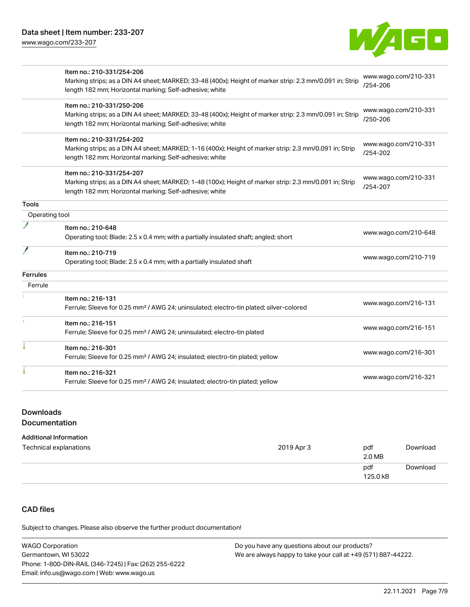[www.wago.com/233-207](http://www.wago.com/233-207)



|                | Item no.: 210-331/254-206                                                                               |                                  |
|----------------|---------------------------------------------------------------------------------------------------------|----------------------------------|
|                | Marking strips; as a DIN A4 sheet; MARKED; 33-48 (400x); Height of marker strip: 2.3 mm/0.091 in; Strip | www.wago.com/210-331<br>/254-206 |
|                | length 182 mm; Horizontal marking; Self-adhesive; white                                                 |                                  |
|                | Item no.: 210-331/250-206                                                                               |                                  |
|                | Marking strips; as a DIN A4 sheet; MARKED; 33-48 (400x); Height of marker strip: 2.3 mm/0.091 in; Strip | www.wago.com/210-331             |
|                | length 182 mm; Horizontal marking; Self-adhesive; white                                                 | /250-206                         |
|                | Item no.: 210-331/254-202                                                                               |                                  |
|                | Marking strips; as a DIN A4 sheet; MARKED; 1-16 (400x); Height of marker strip: 2.3 mm/0.091 in; Strip  | www.wago.com/210-331             |
|                | length 182 mm; Horizontal marking; Self-adhesive; white                                                 | /254-202                         |
|                | Item no.: 210-331/254-207                                                                               |                                  |
|                | Marking strips; as a DIN A4 sheet; MARKED; 1-48 (100x); Height of marker strip: 2.3 mm/0.091 in; Strip  | www.wago.com/210-331             |
|                | length 182 mm; Horizontal marking; Self-adhesive; white                                                 | /254-207                         |
| Tools          |                                                                                                         |                                  |
| Operating tool |                                                                                                         |                                  |
|                | Item no.: 210-648                                                                                       |                                  |
|                | Operating tool; Blade: 2.5 x 0.4 mm; with a partially insulated shaft; angled; short                    | www.wago.com/210-648             |
|                | Item no.: 210-719                                                                                       |                                  |
|                | Operating tool; Blade: 2.5 x 0.4 mm; with a partially insulated shaft                                   | www.wago.com/210-719             |
| Ferrules       |                                                                                                         |                                  |
| Ferrule        |                                                                                                         |                                  |
|                | Item no.: 216-131                                                                                       |                                  |
|                | Ferrule; Sleeve for 0.25 mm <sup>2</sup> / AWG 24; uninsulated; electro-tin plated; silver-colored      | www.wago.com/216-131             |
|                | Item no.: 216-151                                                                                       |                                  |
|                | Ferrule; Sleeve for 0.25 mm <sup>2</sup> / AWG 24; uninsulated; electro-tin plated                      | www.wago.com/216-151             |
|                | Item no.: 216-301                                                                                       |                                  |
|                | Ferrule; Sleeve for 0.25 mm <sup>2</sup> / AWG 24; insulated; electro-tin plated; yellow                | www.wago.com/216-301             |
|                |                                                                                                         |                                  |
|                | Item no.: 216-321                                                                                       | www.wago.com/216-321             |

# Downloads

## Documentation

#### Additional Information

| Technical explanations | 2019 Apr 3 | pdf<br>2.0 MB   | Download |
|------------------------|------------|-----------------|----------|
|                        |            | pdf<br>125.0 kB | Download |

# CAD files

| <b>WAGO Corporation</b>                                | Do you have any questions about our products?                 |
|--------------------------------------------------------|---------------------------------------------------------------|
| Germantown, WI 53022                                   | We are always happy to take your call at +49 (571) 887-44222. |
| Phone: 1-800-DIN-RAIL (346-7245)   Fax: (262) 255-6222 |                                                               |
| Email: info.us@wago.com   Web: www.wago.us             |                                                               |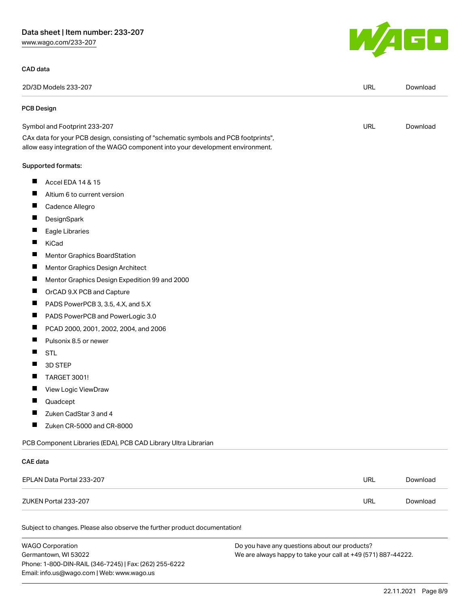# Data sheet | Item number: 233-207

[www.wago.com/233-207](http://www.wago.com/233-207)

#### CAD data

| l II<br>M<br>a <del>s</del> |  |
|-----------------------------|--|
|                             |  |

| 2D/3D Models 233-207                                                                                                                                                   | <b>URL</b> | Download |
|------------------------------------------------------------------------------------------------------------------------------------------------------------------------|------------|----------|
| PCB Design                                                                                                                                                             |            |          |
| Symbol and Footprint 233-207                                                                                                                                           | <b>URL</b> | Download |
| CAx data for your PCB design, consisting of "schematic symbols and PCB footprints",<br>allow easy integration of the WAGO component into your development environment. |            |          |
| Supported formats:                                                                                                                                                     |            |          |
| ш<br>Accel EDA 14 & 15                                                                                                                                                 |            |          |
| Altium 6 to current version                                                                                                                                            |            |          |
| ш<br>Cadence Allegro                                                                                                                                                   |            |          |
| ш<br>DesignSpark                                                                                                                                                       |            |          |
| Eagle Libraries                                                                                                                                                        |            |          |
| ш<br>KiCad                                                                                                                                                             |            |          |
| Ш<br><b>Mentor Graphics BoardStation</b>                                                                                                                               |            |          |
| П<br>Mentor Graphics Design Architect                                                                                                                                  |            |          |
| ш<br>Mentor Graphics Design Expedition 99 and 2000                                                                                                                     |            |          |
| ш<br>OrCAD 9.X PCB and Capture                                                                                                                                         |            |          |
| ш<br>PADS PowerPCB 3, 3.5, 4.X, and 5.X                                                                                                                                |            |          |
| ш<br>PADS PowerPCB and PowerLogic 3.0                                                                                                                                  |            |          |
| ш<br>PCAD 2000, 2001, 2002, 2004, and 2006                                                                                                                             |            |          |
| Ш<br>Pulsonix 8.5 or newer                                                                                                                                             |            |          |
| ш<br><b>STL</b>                                                                                                                                                        |            |          |
| ш<br>3D STEP                                                                                                                                                           |            |          |
| H.<br><b>TARGET 3001!</b>                                                                                                                                              |            |          |
| ш<br>View Logic ViewDraw                                                                                                                                               |            |          |
| П<br>Quadcept                                                                                                                                                          |            |          |
| ш<br>Zuken CadStar 3 and 4                                                                                                                                             |            |          |
| ш<br>Zuken CR-5000 and CR-8000                                                                                                                                         |            |          |
| PCB Component Libraries (EDA), PCB CAD Library Ultra Librarian                                                                                                         |            |          |
| <b>CAE</b> data                                                                                                                                                        |            |          |
| EPLAN Data Portal 233-207                                                                                                                                              | <b>URL</b> | Download |
| ZUKEN Portal 233-207                                                                                                                                                   | <b>URL</b> | Download |

| <b>WAGO Corporation</b>                                | Do you have any questions about our products?                 |
|--------------------------------------------------------|---------------------------------------------------------------|
| Germantown, WI 53022                                   | We are always happy to take your call at +49 (571) 887-44222. |
| Phone: 1-800-DIN-RAIL (346-7245)   Fax: (262) 255-6222 |                                                               |
| Email: info.us@wago.com   Web: www.wago.us             |                                                               |